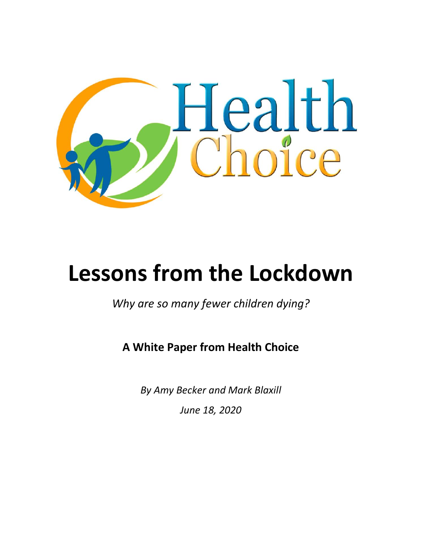

# **Lessons from the Lockdown**

*Why are so many fewer children dying?* 

## **A White Paper from Health Choice**

*By Amy Becker and Mark Blaxill June 18, 2020*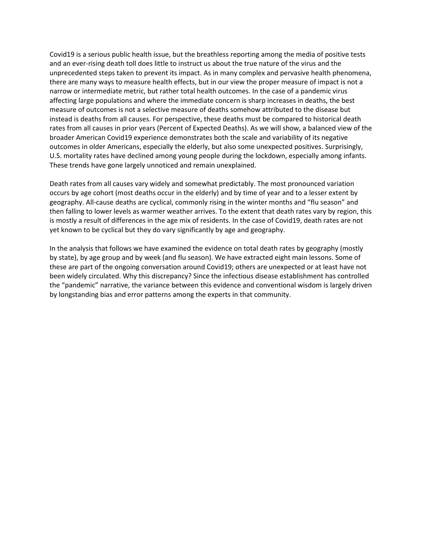Covid19 is a serious public health issue, but the breathless reporting among the media of positive tests and an ever-rising death toll does little to instruct us about the true nature of the virus and the unprecedented steps taken to prevent its impact. As in many complex and pervasive health phenomena, there are many ways to measure health effects, but in our view the proper measure of impact is not a narrow or intermediate metric, but rather total health outcomes. In the case of a pandemic virus affecting large populations and where the immediate concern is sharp increases in deaths, the best measure of outcomes is not a selective measure of deaths somehow attributed to the disease but instead is deaths from all causes. For perspective, these deaths must be compared to historical death rates from all causes in prior years (Percent of Expected Deaths). As we will show, a balanced view of the broader American Covid19 experience demonstrates both the scale and variability of its negative outcomes in older Americans, especially the elderly, but also some unexpected positives. Surprisingly, U.S. mortality rates have declined among young people during the lockdown, especially among infants. These trends have gone largely unnoticed and remain unexplained.

Death rates from all causes vary widely and somewhat predictably. The most pronounced variation occurs by age cohort (most deaths occur in the elderly) and by time of year and to a lesser extent by geography. All-cause deaths are cyclical, commonly rising in the winter months and "flu season" and then falling to lower levels as warmer weather arrives. To the extent that death rates vary by region, this is mostly a result of differences in the age mix of residents. In the case of Covid19, death rates are not yet known to be cyclical but they do vary significantly by age and geography.

In the analysis that follows we have examined the evidence on total death rates by geography (mostly by state), by age group and by week (and flu season). We have extracted eight main lessons. Some of these are part of the ongoing conversation around Covid19; others are unexpected or at least have not been widely circulated. Why this discrepancy? Since the infectious disease establishment has controlled the "pandemic" narrative, the variance between this evidence and conventional wisdom is largely driven by longstanding bias and error patterns among the experts in that community.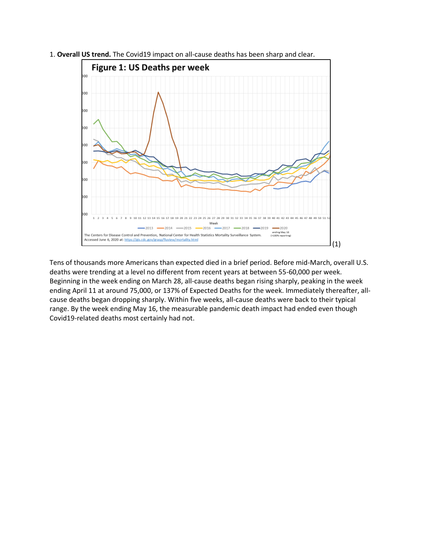

1. **Overall US trend.** The Covid19 impact on all-cause deaths has been sharp and clear.

Tens of thousands more Americans than expected died in a brief period. Before mid-March, overall U.S. deaths were trending at a level no different from recent years at between 55-60,000 per week. Beginning in the week ending on March 28, all-cause deaths began rising sharply, peaking in the week ending April 11 at around 75,000, or 137% of Expected Deaths for the week. Immediately thereafter, allcause deaths began dropping sharply. Within five weeks, all-cause deaths were back to their typical range. By the week ending May 16, the measurable pandemic death impact had ended even though Covid19-related deaths most certainly had not.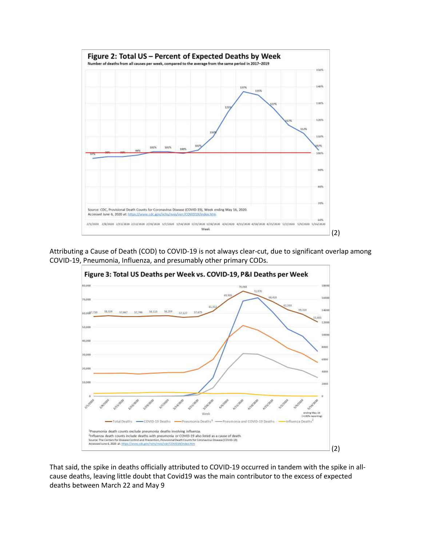

Attributing a Cause of Death (COD) to COVID-19 is not always clear-cut, due to significant overlap among COVID-19, Pneumonia, Influenza, and presumably other primary CODs.



That said, the spike in deaths officially attributed to COVID-19 occurred in tandem with the spike in allcause deaths, leaving little doubt that Covid19 was the main contributor to the excess of expected deaths between March 22 and May 9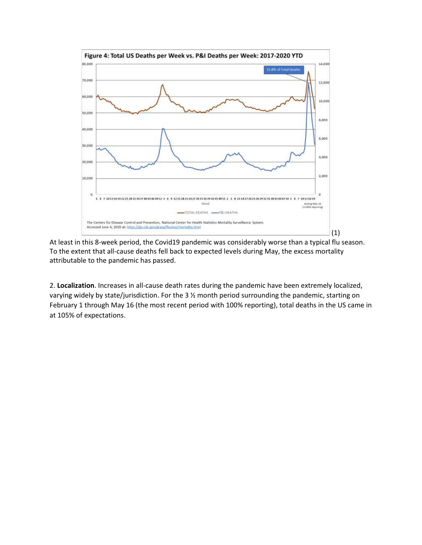

At least in this 8-week period, the Covid19 pandemic was considerably worse than a typical flu season. To the extent that all-cause deaths fell back to expected levels during May, the excess mortality attributable to the pandemic has passed.

2. **Localization**. Increases in all-cause death rates during the pandemic have been extremely localized, varying widely by state/jurisdiction. For the 3 ½ month period surrounding the pandemic, starting on February 1 through May 16 (the most recent period with 100% reporting), total deaths in the US came in at 105% of expectations.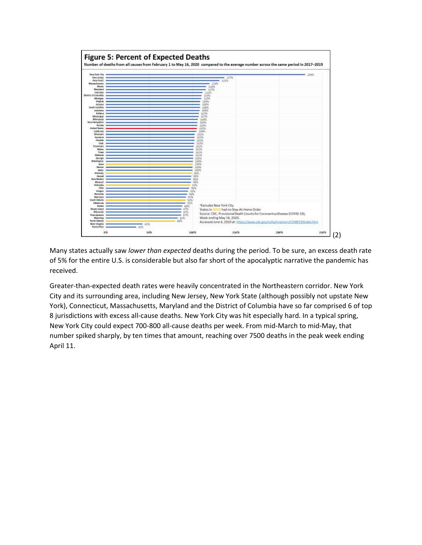

Many states actually saw *lower than expected* deaths during the period. To be sure, an excess death rate of 5% for the entire U.S. is considerable but also far short of the apocalyptic narrative the pandemic has received.

Greater-than-expected death rates were heavily concentrated in the Northeastern corridor. New York City and its surrounding area, including New Jersey, New York State (although possibly not upstate New York), Connecticut, Massachusetts, Maryland and the District of Columbia have so far comprised 6 of top 8 jurisdictions with excess all-cause deaths. New York City was hit especially hard. In a typical spring, New York City could expect 700-800 all-cause deaths per week. From mid-March to mid-May, that number spiked sharply, by ten times that amount, reaching over 7500 deaths in the peak week ending April 11.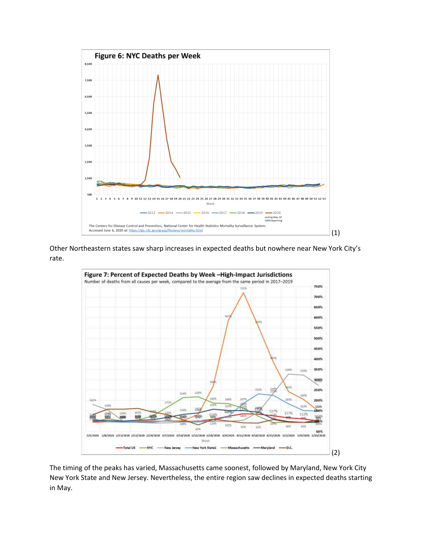

Other Northeastern states saw sharp increases in expected deaths but nowhere near New York City's rate.



The timing of the peaks has varied, Massachusetts came soonest, followed by Maryland, New York City New York State and New Jersey. Nevertheless, the entire region saw declines in expected deaths starting in May.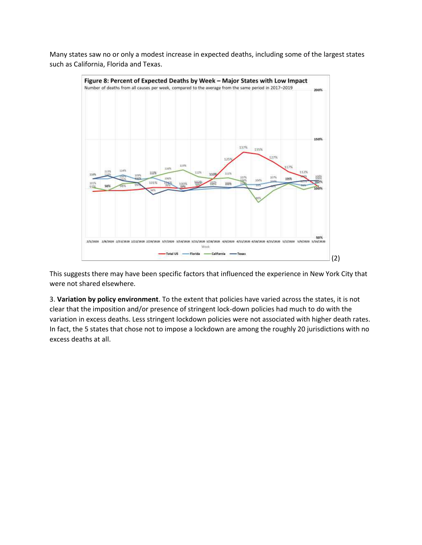Many states saw no or only a modest increase in expected deaths, including some of the largest states such as California, Florida and Texas.



This suggests there may have been specific factors that influenced the experience in New York City that were not shared elsewhere.

3. **Variation by policy environment**. To the extent that policies have varied across the states, it is not clear that the imposition and/or presence of stringent lock-down policies had much to do with the variation in excess deaths. Less stringent lockdown policies were not associated with higher death rates. In fact, the 5 states that chose not to impose a lockdown are among the roughly 20 jurisdictions with no excess deaths at all.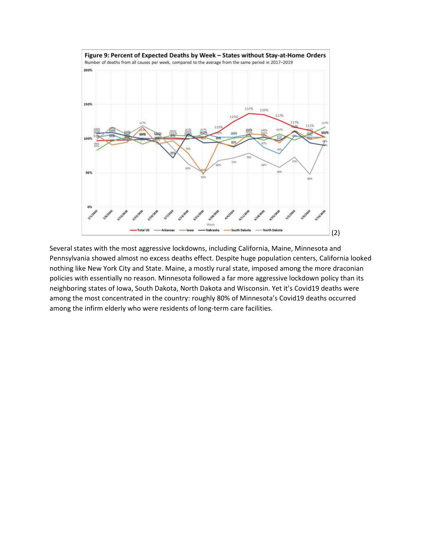

Several states with the most aggressive lockdowns, including California, Maine, Minnesota and Pennsylvania showed almost no excess deaths effect. Despite huge population centers, California looked nothing like New York City and State. Maine, a mostly rural state, imposed among the more draconian policies with essentially no reason. Minnesota followed a far more aggressive lockdown policy than its neighboring states of Iowa, South Dakota, North Dakota and Wisconsin. Yet it's Covid19 deaths were among the most concentrated in the country: roughly 80% of Minnesota's Covid19 deaths occurred among the infirm elderly who were residents of long-term care facilities.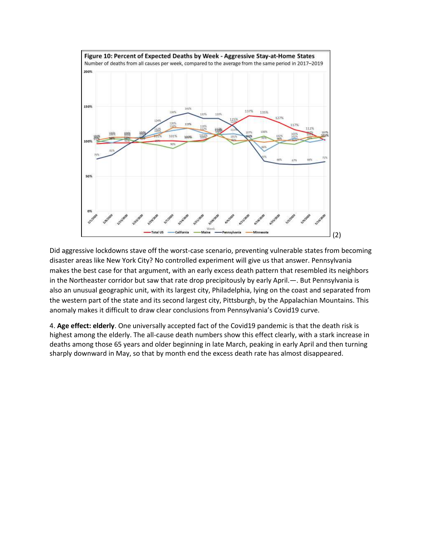

Did aggressive lockdowns stave off the worst-case scenario, preventing vulnerable states from becoming disaster areas like New York City? No controlled experiment will give us that answer. Pennsylvania makes the best case for that argument, with an early excess death pattern that resembled its neighbors in the Northeaster corridor but saw that rate drop precipitously by early April.—. But Pennsylvania is also an unusual geographic unit, with its largest city, Philadelphia, lying on the coast and separated from the western part of the state and its second largest city, Pittsburgh, by the Appalachian Mountains. This anomaly makes it difficult to draw clear conclusions from Pennsylvania's Covid19 curve.

4. **Age effect: elderly**. One universally accepted fact of the Covid19 pandemic is that the death risk is highest among the elderly. The all-cause death numbers show this effect clearly, with a stark increase in deaths among those 65 years and older beginning in late March, peaking in early April and then turning sharply downward in May, so that by month end the excess death rate has almost disappeared.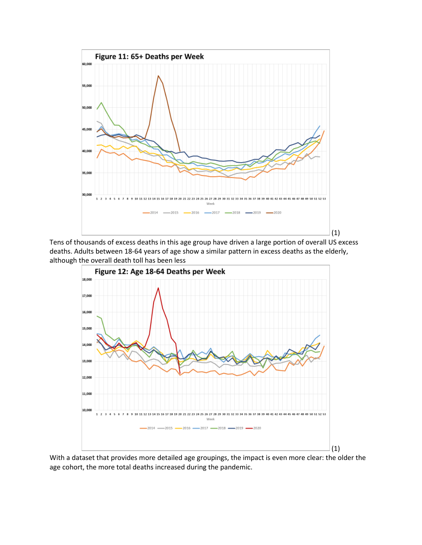

Tens of thousands of excess deaths in this age group have driven a large portion of overall US excess deaths. Adults between 18-64 years of age show a similar pattern in excess deaths as the elderly, although the overall death toll has been less



With a dataset that provides more detailed age groupings, the impact is even more clear: the older the age cohort, the more total deaths increased during the pandemic.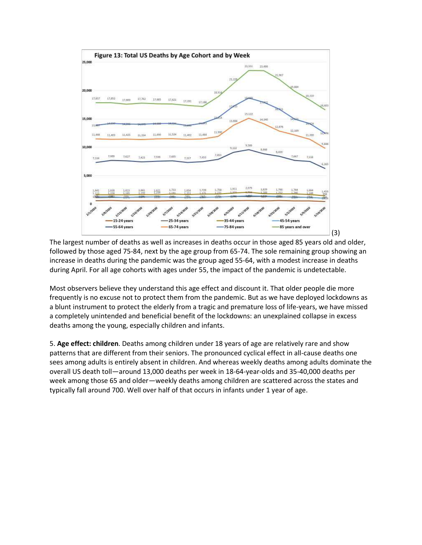

The largest number of deaths as well as increases in deaths occur in those aged 85 years old and older, followed by those aged 75-84, next by the age group from 65-74. The sole remaining group showing an increase in deaths during the pandemic was the group aged 55-64, with a modest increase in deaths during April. For all age cohorts with ages under 55, the impact of the pandemic is undetectable.

Most observers believe they understand this age effect and discount it. That older people die more frequently is no excuse not to protect them from the pandemic. But as we have deployed lockdowns as a blunt instrument to protect the elderly from a tragic and premature loss of life-years, we have missed a completely unintended and beneficial benefit of the lockdowns: an unexplained collapse in excess deaths among the young, especially children and infants.

5. **Age effect: children**. Deaths among children under 18 years of age are relatively rare and show patterns that are different from their seniors. The pronounced cyclical effect in all-cause deaths one sees among adults is entirely absent in children. And whereas weekly deaths among adults dominate the overall US death toll—around 13,000 deaths per week in 18-64-year-olds and 35-40,000 deaths per week among those 65 and older—weekly deaths among children are scattered across the states and typically fall around 700. Well over half of that occurs in infants under 1 year of age.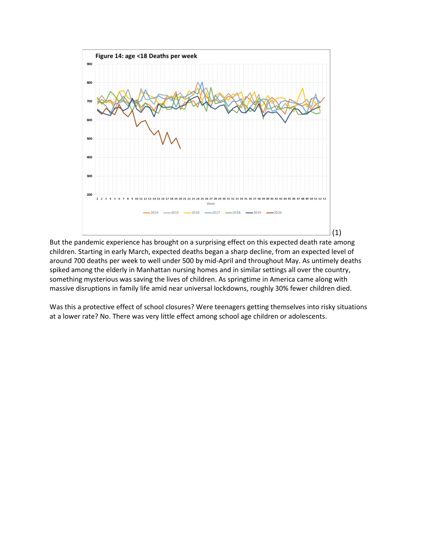

But the pandemic experience has brought on a surprising effect on this expected death rate among children. Starting in early March, expected deaths began a sharp decline, from an expected level of around 700 deaths per week to well under 500 by mid-April and throughout May. As untimely deaths spiked among the elderly in Manhattan nursing homes and in similar settings all over the country, something mysterious was saving the lives of children. As springtime in America came along with massive disruptions in family life amid near universal lockdowns, roughly 30% fewer children died.

Was this a protective effect of school closures? Were teenagers getting themselves into risky situations at a lower rate? No. There was very little effect among school age children or adolescents.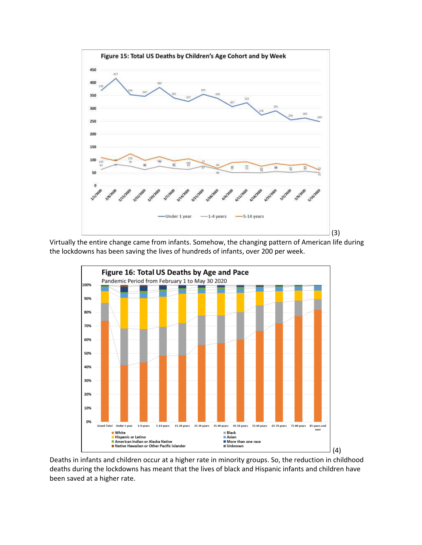

Virtually the entire change came from infants. Somehow, the changing pattern of American life during the lockdowns has been saving the lives of hundreds of infants, over 200 per week.



Deaths in infants and children occur at a higher rate in minority groups. So, the reduction in childhood deaths during the lockdowns has meant that the lives of black and Hispanic infants and children have been saved at a higher rate.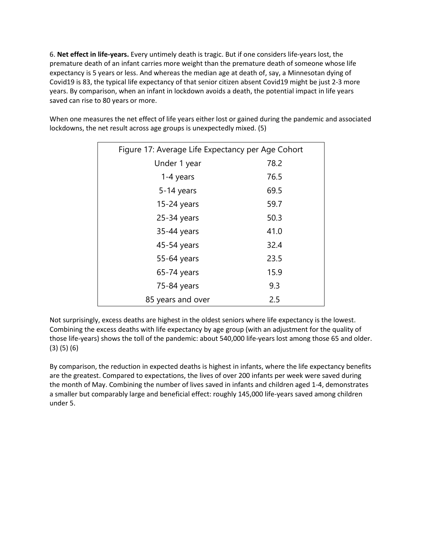6. **Net effect in life-years.** Every untimely death is tragic. But if one considers life-years lost, the premature death of an infant carries more weight than the premature death of someone whose life expectancy is 5 years or less. And whereas the median age at death of, say, a Minnesotan dying of Covid19 is 83, the typical life expectancy of that senior citizen absent Covid19 might be just 2-3 more years. By comparison, when an infant in lockdown avoids a death, the potential impact in life years saved can rise to 80 years or more.

When one measures the net effect of life years either lost or gained during the pandemic and associated lockdowns, the net result across age groups is unexpectedly mixed. (5)

| Figure 17: Average Life Expectancy per Age Cohort |      |  |
|---------------------------------------------------|------|--|
| Under 1 year                                      | 78.2 |  |
| 1-4 years                                         | 76.5 |  |
| $5-14$ years                                      | 69.5 |  |
| $15-24$ years                                     | 59.7 |  |
| $25-34$ years                                     | 50.3 |  |
| 35-44 years                                       | 41.0 |  |
| 45-54 years                                       | 32.4 |  |
| 55-64 years                                       | 23.5 |  |
| $65-74$ years                                     | 15.9 |  |
| 75-84 years                                       | 9.3  |  |
| 85 years and over                                 | 2.5  |  |

Not surprisingly, excess deaths are highest in the oldest seniors where life expectancy is the lowest. Combining the excess deaths with life expectancy by age group (with an adjustment for the quality of those life-years) shows the toll of the pandemic: about 540,000 life-years lost among those 65 and older. (3) (5) (6)

By comparison, the reduction in expected deaths is highest in infants, where the life expectancy benefits are the greatest. Compared to expectations, the lives of over 200 infants per week were saved during the month of May. Combining the number of lives saved in infants and children aged 1-4, demonstrates a smaller but comparably large and beneficial effect: roughly 145,000 life-years saved among children under 5.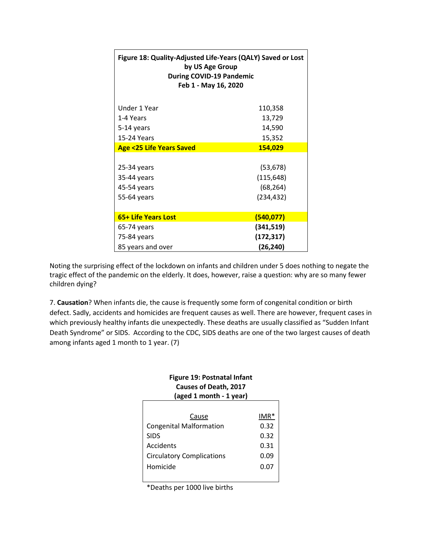| Figure 18: Quality-Adjusted Life-Years (QALY) Saved or Lost<br>by US Age Group<br><b>During COVID-19 Pandemic</b><br>Feb 1 - May 16, 2020 |            |  |
|-------------------------------------------------------------------------------------------------------------------------------------------|------------|--|
| Under 1 Year                                                                                                                              | 110,358    |  |
| 1-4 Years                                                                                                                                 | 13,729     |  |
| 5-14 years                                                                                                                                | 14,590     |  |
| <b>15-24 Years</b>                                                                                                                        | 15,352     |  |
| <b>Age &lt;25 Life Years Saved</b>                                                                                                        | 154,029    |  |
|                                                                                                                                           |            |  |
| $25-34$ years                                                                                                                             | (53, 678)  |  |
| 35-44 years                                                                                                                               | (115, 648) |  |
| 45-54 years                                                                                                                               | (68, 264)  |  |
| 55-64 years                                                                                                                               | (234, 432) |  |
|                                                                                                                                           |            |  |
| 65+ Life Years Lost                                                                                                                       | (540, 077) |  |
| 65-74 years                                                                                                                               | (341, 519) |  |
| 75-84 years                                                                                                                               | (172, 317) |  |
| 85 years and over                                                                                                                         | (26, 240)  |  |

Noting the surprising effect of the lockdown on infants and children under 5 does nothing to negate the tragic effect of the pandemic on the elderly. It does, however, raise a question: why are so many fewer children dying?

7. **Causation**? When infants die, the cause is frequently some form of congenital condition or birth defect. Sadly, accidents and homicides are frequent causes as well. There are however, frequent cases in which previously healthy infants die unexpectedly. These deaths are usually classified as "Sudden Infant Death Syndrome" or SIDS. According to the CDC, SIDS deaths are one of the two largest causes of death among infants aged 1 month to 1 year. (7)

#### **Figure 19: Postnatal Infant Causes of Death, 2017 (aged 1 month - 1 year)**

| Cause                                         | $IMR*$<br>0.32 |
|-----------------------------------------------|----------------|
| <b>Congenital Malformation</b><br><b>SIDS</b> | 0.32           |
| Accidents                                     | 0.31           |
| <b>Circulatory Complications</b>              | 0.09           |
| Homicide                                      | 0.07           |
|                                               |                |

\*Deaths per 1000 live births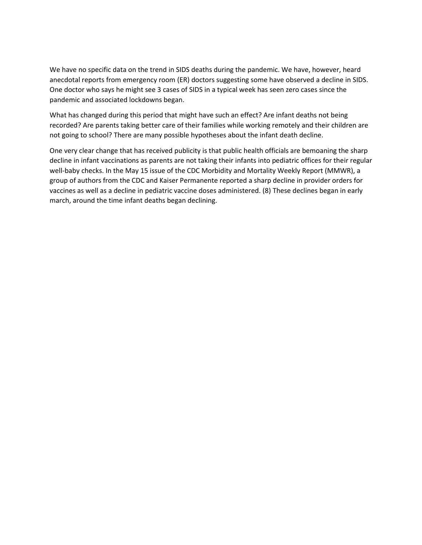We have no specific data on the trend in SIDS deaths during the pandemic. We have, however, heard anecdotal reports from emergency room (ER) doctors suggesting some have observed a decline in SIDS. One doctor who says he might see 3 cases of SIDS in a typical week has seen zero cases since the pandemic and associated lockdowns began.

What has changed during this period that might have such an effect? Are infant deaths not being recorded? Are parents taking better care of their families while working remotely and their children are not going to school? There are many possible hypotheses about the infant death decline.

One very clear change that has received publicity is that public health officials are bemoaning the sharp decline in infant vaccinations as parents are not taking their infants into pediatric offices for their regular well-baby checks. In the May 15 issue of the CDC Morbidity and Mortality Weekly Report (MMWR), a group of authors from the CDC and Kaiser Permanente reported a sharp decline in provider orders for vaccines as well as a decline in pediatric vaccine doses administered. (8) These declines began in early march, around the time infant deaths began declining.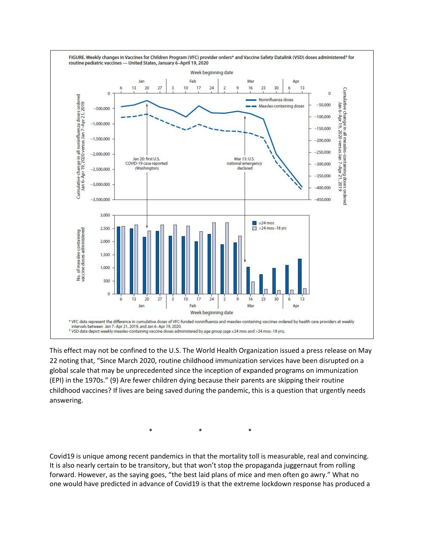

This effect may not be confined to the U.S. The World Health Organization issued a press release on May 22 noting that, "Since March 2020, routine childhood immunization services have been disrupted on a global scale that may be unprecedented since the inception of expanded programs on immunization (EPI) in the 1970s." (9) Are fewer children dying because their parents are skipping their routine childhood vaccines? If lives are being saved during the pandemic, this is a question that urgently needs answering.

\* \* \*

Covid19 is unique among recent pandemics in that the mortality toll is measurable, real and convincing. It is also nearly certain to be transitory, but that won't stop the propaganda juggernaut from rolling forward. However, as the saying goes, "the best laid plans of mice and men often go awry." What no one would have predicted in advance of Covid19 is that the extreme lockdown response has produced a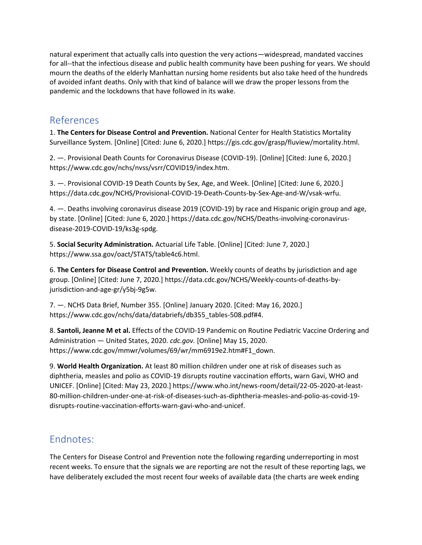natural experiment that actually calls into question the very actions—widespread, mandated vaccines for all--that the infectious disease and public health community have been pushing for years. We should mourn the deaths of the elderly Manhattan nursing home residents but also take heed of the hundreds of avoided infant deaths. Only with that kind of balance will we draw the proper lessons from the pandemic and the lockdowns that have followed in its wake.

### References

1. **The Centers for Disease Control and Prevention.** National Center for Health Statistics Mortality Surveillance System. [Online] [Cited: June 6, 2020.] https://gis.cdc.gov/grasp/fluview/mortality.html.

2. —. Provisional Death Counts for Coronavirus Disease (COVID-19). [Online] [Cited: June 6, 2020.] https://www.cdc.gov/nchs/nvss/vsrr/COVID19/index.htm.

3. —. Provisional COVID-19 Death Counts by Sex, Age, and Week. [Online] [Cited: June 6, 2020.] https://data.cdc.gov/NCHS/Provisional-COVID-19-Death-Counts-by-Sex-Age-and-W/vsak-wrfu.

4. —. Deaths involving coronavirus disease 2019 (COVID-19) by race and Hispanic origin group and age, by state. [Online] [Cited: June 6, 2020.] https://data.cdc.gov/NCHS/Deaths-involving-coronavirusdisease-2019-COVID-19/ks3g-spdg.

5. **Social Security Administration.** Actuarial Life Table. [Online] [Cited: June 7, 2020.] https://www.ssa.gov/oact/STATS/table4c6.html.

6. **The Centers for Disease Control and Prevention.** Weekly counts of deaths by jurisdiction and age group. [Online] [Cited: June 7, 2020.] https://data.cdc.gov/NCHS/Weekly-counts-of-deaths-byjurisdiction-and-age-gr/y5bj-9g5w.

7. —. NCHS Data Brief, Number 355. [Online] January 2020. [Cited: May 16, 2020.] https://www.cdc.gov/nchs/data/databriefs/db355\_tables-508.pdf#4.

8. **Santoli, Jeanne M et al.** Effects of the COVID-19 Pandemic on Routine Pediatric Vaccine Ordering and Administration — United States, 2020. *cdc.gov.* [Online] May 15, 2020. https://www.cdc.gov/mmwr/volumes/69/wr/mm6919e2.htm#F1\_down.

9. **World Health Organization.** At least 80 million children under one at risk of diseases such as diphtheria, measles and polio as COVID-19 disrupts routine vaccination efforts, warn Gavi, WHO and UNICEF. [Online] [Cited: May 23, 2020.] https://www.who.int/news-room/detail/22-05-2020-at-least-80-million-children-under-one-at-risk-of-diseases-such-as-diphtheria-measles-and-polio-as-covid-19 disrupts-routine-vaccination-efforts-warn-gavi-who-and-unicef.

## Endnotes:

The Centers for Disease Control and Prevention note the following regarding underreporting in most recent weeks. To ensure that the signals we are reporting are not the result of these reporting lags, we have deliberately excluded the most recent four weeks of available data (the charts are week ending